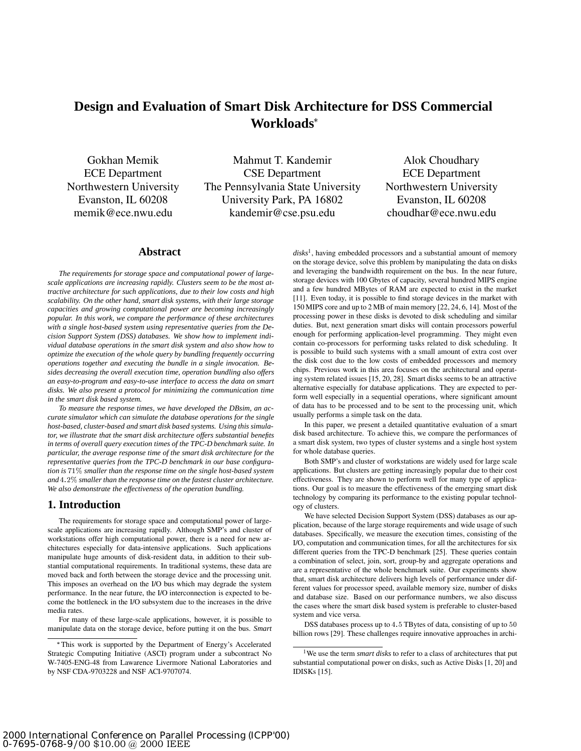# **Design and Evaluation of Smart Disk Architecture for DSS Commercial Workloads**

Gokhan Memik ECE Department Northwestern University Evanston, IL 60208 memik@ece.nwu.edu

Mahmut T. Kandemir CSE Department The Pennsylvania State University University Park, PA 16802 kandemir@cse.psu.edu

Alok Choudhary ECE Department Northwestern University Evanston, IL 60208 choudhar@ece.nwu.edu

### **Abstract**

*The requirements for storage space and computational power of largescale applications are increasing rapidly. Clusters seem to be the most attractive architecture for such applications, due to their low costs and high scalability. On the other hand, smart disk systems, with their large storage capacities and growing computational power are becoming increasingly popular. In this work, we compare the performance of these architectures with a single host-based system using representative queries from the Decision Support System (DSS) databases. We show how to implement individual database operations in the smart disk system and also show how to optimize the execution of the whole query by bundling frequently occurring operations together and executing the bundle in a single invocation. Besides decreasing the overall execution time, operation bundling also offers an easy-to-program and easy-to-use interface to access the data on smart disks. We also present a protocol for minimizing the communication time in the smart disk based system.*

*To measure the response times, we have developed the DBsim, an accurate simulator which can simulate the database operations for the single host-based, cluster-based and smart disk based systems. Using this simulator, we illustrate that the smart disk architecture offers substantial benefits in terms of overall query execution times of the TPC-D benchmark suite. In particular, the average response time of the smart disk architecture for the representative queries from the TPC-D benchmark in our base configuration is* 71% *smaller than the response time on the single host-based system and* 4:2% *smaller than the response time on the fastest cluster architecture. We also demonstrate the effectiveness of the operation bundling.*

### **1. Introduction**

The requirements for storage space and computational power of largescale applications are increasing rapidly. Although SMP's and cluster of workstations offer high computational power, there is a need for new architectures especially for data-intensive applications. Such applications manipulate huge amounts of disk-resident data, in addition to their substantial computational requirements. In traditional systems, these data are moved back and forth between the storage device and the processing unit. This imposes an overhead on the I/O bus which may degrade the system performance. In the near future, the I/O interconnection is expected to become the bottleneck in the I/O subsystem due to the increases in the drive media rates.

For many of these large-scale applications, however, it is possible to manipulate data on the storage device, before putting it on the bus. *Smart* *disks*1, having embedded processors and a substantial amount of memory on the storage device, solve this problem by manipulating the data on disks and leveraging the bandwidth requirement on the bus. In the near future, storage devices with 100 Gbytes of capacity, several hundred MIPS engine and a few hundred MBytes of RAM are expected to exist in the market [11]. Even today, it is possible to find storage devices in the market with 150 MIPS core and up to 2 MB of main memory [22, 24, 6, 14]. Most of the processing power in these disks is devoted to disk scheduling and similar duties. But, next generation smart disks will contain processors powerful enough for performing application-level programming. They might even contain co-processors for performing tasks related to disk scheduling. It is possible to build such systems with a small amount of extra cost over the disk cost due to the low costs of embedded processors and memory chips. Previous work in this area focuses on the architectural and operating system related issues [15, 20, 28]. Smart disks seems to be an attractive alternative especially for database applications. They are expected to perform well especially in a sequential operations, where significant amount of data has to be processed and to be sent to the processing unit, which usually performs a simple task on the data.

In this paper, we present a detailed quantitative evaluation of a smart disk based architecture. To achieve this, we compare the performances of a smart disk system, two types of cluster systems and a single host system for whole database queries.

Both SMP's and cluster of workstations are widely used for large scale applications. But clusters are getting increasingly popular due to their cost effectiveness. They are shown to perform well for many type of applications. Our goal is to measure the effectiveness of the emerging smart disk technology by comparing its performance to the existing popular technology of clusters.

We have selected Decision Support System (DSS) databases as our application, because of the large storage requirements and wide usage of such databases. Specifically, we measure the execution times, consisting of the I/O, computation and communication times, for all the architectures for six different queries from the TPC-D benchmark [25]. These queries contain a combination of select, join, sort, group-by and aggregate operations and are a representative of the whole benchmark suite. Our experiments show that, smart disk architecture delivers high levels of performance under different values for processor speed, available memory size, number of disks and database size. Based on our performance numbers, we also discuss the cases where the smart disk based system is preferable to cluster-based system and vice versa.

DSS databases process up to 4:5 TBytes of data, consisting of up to <sup>50</sup> billion rows [29]. These challenges require innovative approaches in archi-

This work is supported by the Department of Energy's Accelerated Strategic Computing Initiative (ASCI) program under a subcontract No W-7405-ENG-48 from Lawarence Livermore National Laboratories and by NSF CDA-9703228 and NSF ACI-9707074.

<sup>&</sup>lt;sup>1</sup>We use the term *smart disks* to refer to a class of architectures that put substantial computational power on disks, such as Active Disks [1, 20] and IDISKs [15].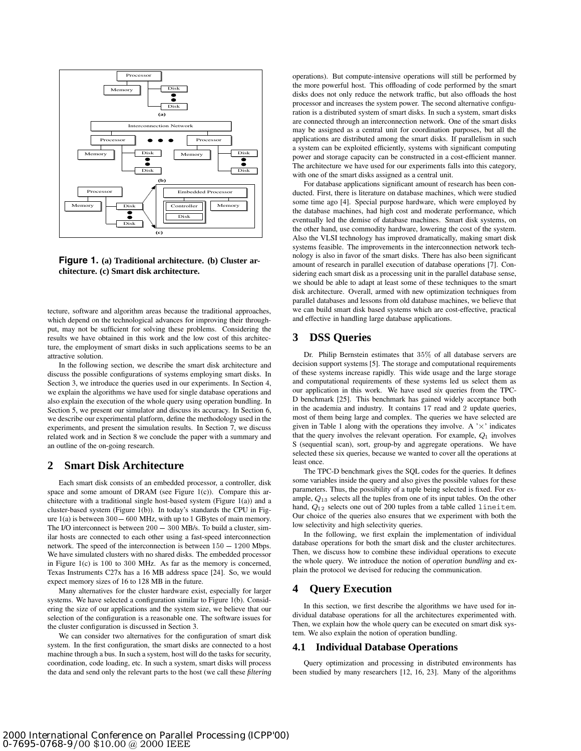

**Figure 1. (a) Traditional architecture. (b) Cluster architecture. (c) Smart disk architecture.**

tecture, software and algorithm areas because the traditional approaches, which depend on the technological advances for improving their throughput, may not be sufficient for solving these problems. Considering the results we have obtained in this work and the low cost of this architecture, the employment of smart disks in such applications seems to be an attractive solution.

In the following section, we describe the smart disk architecture and discuss the possible configurations of systems employing smart disks. In Section 3, we introduce the queries used in our experiments. In Section 4, we explain the algorithms we have used for single database operations and also explain the execution of the whole query using operation bundling. In Section 5, we present our simulator and discuss its accuracy. In Section 6, we describe our experimental platform, define the methodology used in the experiments, and present the simulation results. In Section 7, we discuss related work and in Section 8 we conclude the paper with a summary and an outline of the on-going research.

# **2 Smart Disk Architecture**

Each smart disk consists of an embedded processor, a controller, disk space and some amount of DRAM (see Figure 1(c)). Compare this architecture with a traditional single host-based system (Figure 1(a)) and a cluster-based system (Figure 1(b)). In today's standards the CPU in Figure  $1(a)$  is between  $300-600$  MHz, with up to 1 GBytes of main memory. The I/O interconnect is between  $200 - 300$  MB/s. To build a cluster, similar hosts are connected to each other using a fast-speed interconnection network. The speed of the interconnection is between  $150 - 1200$  Mbps. We have simulated clusters with no shared disks. The embedded processor in Figure 1(c) is <sup>100</sup> to <sup>300</sup> MHz. As far as the memory is concerned, Texas Instruments C27x has a 16 MB address space [24]. So, we would expect memory sizes of 16 to 128 MB in the future.

Many alternatives for the cluster hardware exist, especially for larger systems. We have selected a configuration similar to Figure 1(b). Considering the size of our applications and the system size, we believe that our selection of the configuration is a reasonable one. The software issues for the cluster configuration is discussed in Section 3.

We can consider two alternatives for the configuration of smart disk system. In the first configuration, the smart disks are connected to a host machine through a bus. In such a system, host will do the tasks for security, coordination, code loading, etc. In such a system, smart disks will process the data and send only the relevant parts to the host (we call these *filtering*

operations). But compute-intensive operations will still be performed by the more powerful host. This offloading of code performed by the smart disks does not only reduce the network traffic, but also offloads the host processor and increases the system power. The second alternative configuration is a distributed system of smart disks. In such a system, smart disks are connected through an interconnection network. One of the smart disks may be assigned as a central unit for coordination purposes, but all the applications are distributed among the smart disks. If parallelism in such a system can be exploited efficiently, systems with significant computing power and storage capacity can be constructed in a cost-efficient manner. The architecture we have used for our experiments falls into this category, with one of the smart disks assigned as a central unit.

For database applications significant amount of research has been conducted. First, there is literature on database machines, which were studied some time ago [4]. Special purpose hardware, which were employed by the database machines, had high cost and moderate performance, which eventually led the demise of database machines. Smart disk systems, on the other hand, use commodity hardware, lowering the cost of the system. Also the VLSI technology has improved dramatically, making smart disk systems feasible. The improvements in the interconnection network technology is also in favor of the smart disks. There has also been significant amount of research in parallel execution of database operations [7]. Considering each smart disk as a processing unit in the parallel database sense, we should be able to adapt at least some of these techniques to the smart disk architecture. Overall, armed with new optimization techniques from parallel databases and lessons from old database machines, we believe that we can build smart disk based systems which are cost-effective, practical and effective in handling large database applications.

# **3 DSS Queries**

Dr. Philip Bernstein estimates that 35% of all database servers are decision support systems [5]. The storage and computational requirements of these systems increase rapidly. This wide usage and the large storage and computational requirements of these systems led us select them as our application in this work. We have used *six* queries from the TPC-D benchmark [25]. This benchmark has gained widely acceptance both in the academia and industry. It contains <sup>17</sup> read and <sup>2</sup> update queries, most of them being large and complex. The queries we have selected are given in Table 1 along with the operations they involve. A  $\cdot \times \cdot$  indicates that the query involves the relevant operation. For example,  $Q_1$  involves S (sequential scan), sort, group-by and aggregate operations. We have selected these six queries, because we wanted to cover all the operations at least once.

The TPC-D benchmark gives the SQL codes for the queries. It defines some variables inside the query and also gives the possible values for these parameters. Thus, the possibility of a tuple being selected is fixed. For example, Q13 selects all the tuples from one of its input tables. On the other hand,  $Q_{12}$  selects one out of 200 tuples from a table called lineitem. Our choice of the queries also ensures that we experiment with both the low selectivity and high selectivity queries.

In the following, we first explain the implementation of individual database operations for both the smart disk and the cluster architectures. Then, we discuss how to combine these individual operations to execute the whole query. We introduce the notion of *operation bundling* and explain the protocol we devised for reducing the communication.

# **4 Query Execution**

In this section, we first describe the algorithms we have used for individual database operations for all the architectures experimented with. Then, we explain how the whole query can be executed on smart disk system. We also explain the notion of operation bundling.

### **4.1 Individual Database Operations**

Query optimization and processing in distributed environments has been studied by many researchers [12, 16, 23]. Many of the algorithms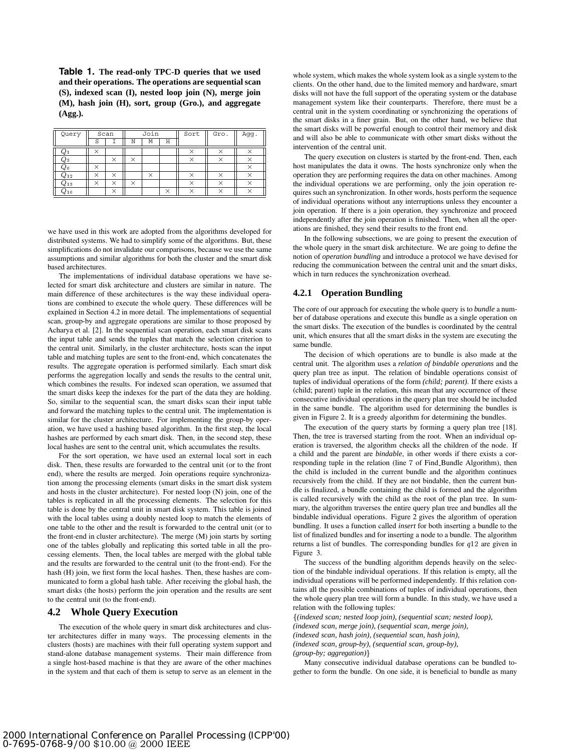**Table 1. The read-only TPC-D queries that we used and their operations. The operations are sequential scan (S), indexed scan (I), nested loop join (N), merge join (M), hash join (H), sort, group (Gro.), and aggregate (Agg.).**

| Query              |              | Join<br>Scan |   |   | Sort | Gro.         | Agg.         |  |
|--------------------|--------------|--------------|---|---|------|--------------|--------------|--|
|                    |              |              | N | М | Η    |              |              |  |
| Y.                 |              |              |   |   |      |              |              |  |
| $\mathcal{L}_3$    |              | ×            | × |   |      | $\checkmark$ |              |  |
| 26                 | $\checkmark$ |              |   |   |      |              |              |  |
| $\mathcal{Q}_{12}$ |              |              |   | × |      | $\checkmark$ | $\checkmark$ |  |
| $\sim 13$          |              |              | × |   |      |              |              |  |
| 216                |              |              |   |   | 丷    |              |              |  |

we have used in this work are adopted from the algorithms developed for distributed systems. We had to simplify some of the algorithms. But, these simplifications do not invalidate our comparisons, because we use the same assumptions and similar algorithms for both the cluster and the smart disk based architectures.

The implementations of individual database operations we have selected for smart disk architecture and clusters are similar in nature. The main difference of these architectures is the way these individual operations are combined to execute the whole query. These differences will be explained in Section 4.2 in more detail. The implementations of sequential scan, group-by and aggregate operations are similar to those proposed by Acharya et al. [2]. In the sequential scan operation, each smart disk scans the input table and sends the tuples that match the selection criterion to the central unit. Similarly, in the cluster architecture, hosts scan the input table and matching tuples are sent to the front-end, which concatenates the results. The aggregate operation is performed similarly. Each smart disk performs the aggregation locally and sends the results to the central unit, which combines the results. For indexed scan operation, we assumed that the smart disks keep the indexes for the part of the data they are holding. So, similar to the sequential scan, the smart disks scan their input table and forward the matching tuples to the central unit. The implementation is similar for the cluster architecture. For implementing the group-by operation, we have used a hashing based algorithm. In the first step, the local hashes are performed by each smart disk. Then, in the second step, these local hashes are sent to the central unit, which accumulates the results.

For the sort operation, we have used an external local sort in each disk. Then, these results are forwarded to the central unit (or to the front end), where the results are merged. Join operations require synchronization among the processing elements (smart disks in the smart disk system and hosts in the cluster architecture). For nested loop (N) join, one of the tables is replicated in all the processing elements. The selection for this table is done by the central unit in smart disk system. This table is joined with the local tables using a doubly nested loop to match the elements of one table to the other and the result is forwarded to the central unit (or to the front-end in cluster architecture). The merge (M) join starts by sorting one of the tables globally and replicating this sorted table in all the processing elements. Then, the local tables are merged with the global table and the results are forwarded to the central unit (to the front-end). For the hash (H) join, we first form the local hashes. Then, these hashes are communicated to form a global hash table. After receiving the global hash, the smart disks (the hosts) perform the join operation and the results are sent to the central unit (to the front-end).

### **4.2 Whole Query Execution**

The execution of the whole query in smart disk architectures and cluster architectures differ in many ways. The processing elements in the clusters (hosts) are machines with their full operating system support and stand-alone database management systems. Their main difference from a single host-based machine is that they are aware of the other machines in the system and that each of them is setup to serve as an element in the

whole system, which makes the whole system look as a single system to the clients. On the other hand, due to the limited memory and hardware, smart disks will not have the full support of the operating system or the database management system like their counterparts. Therefore, there must be a central unit in the system coordinating or synchronizing the operations of the smart disks in a finer grain. But, on the other hand, we believe that the smart disks will be powerful enough to control their memory and disk and will also be able to communicate with other smart disks without the intervention of the central unit.

 host manipulates the data it owns. The hosts synchronize only when the operation they are performing requires the data on other machines. Among the individual operations we are performing, only the join operation re quires such an synchronization. In other words, hosts perform the sequence The query execution on clusters is started by the front-end. Then, each of individual operations without any interruptions unless they encounter a join operation. If there is a join operation, they synchronize and proceed independently after the join operation is finished. Then, when all the operations are finished, they send their results to the front end.

In the following subsections, we are going to present the execution of the whole query in the smart disk architecture. We are going to define the notion of *operation bundling* and introduce a protocol we have devised for reducing the communication between the central unit and the smart disks, which in turn reduces the synchronization overhead.

#### **4.2.1 Operation Bundling**

The core of our approach for executing the whole query is to *bundle* a number of database operations and execute this bundle as a single operation on the smart disks. The execution of the bundles is coordinated by the central unit, which ensures that all the smart disks in the system are executing the same bundle.

The decision of which operations are to bundle is also made at the central unit. The algorithm uses a *relation of bindable operations* and the query plan tree as input. The relation of bindable operations consist of tuples of individual operations of the form *(child; parent)*. If there exists a (child; parent) tuple in the relation, this mean that any occurrence of these consecutive individual operations in the query plan tree should be included in the same bundle. The algorithm used for determining the bundles is given in Figure 2. It is a greedy algorithm for determining the bundles.

The execution of the query starts by forming a query plan tree [18]. Then, the tree is traversed starting from the root. When an individual operation is traversed, the algorithm checks all the children of the node. If a child and the parent are *bindable*, in other words if there exists a corresponding tuple in the relation (line <sup>7</sup> of Find Bundle Algorithm), then the child is included in the current bundle and the algorithm continues recursively from the child. If they are not bindable, then the current bundle is finalized, a bundle containing the child is formed and the algorithm is called recursively with the child as the root of the plan tree. In summary, the algorithm traverses the entire query plan tree and bundles all the bindable individual operations. Figure 2 gives the algorithm of operation bundling. It uses a function called *insert* for both inserting a bundle to the list of finalized bundles and for inserting a node to a bundle. The algorithm returns a list of bundles. The corresponding bundles for q12 are given in Figure 3.

The success of the bundling algorithm depends heavily on the selection of the bindable individual operations. If this relation is empty, all the individual operations will be performed independently. If this relation contains all the possible combinations of tuples of individual operations, then the whole query plan tree will form a bundle. In this study, we have used a relation with the following tuples:

f*(indexed scan; nested loop join), (sequential scan; nested loop), (indexed scan, merge join), (sequential scan, merge join), (indexed scan, hash join), (sequential scan, hash join), (indexed scan, group-by), (sequential scan, group-by), (group-by; aggregation)*g

Many consecutive individual database operations can be bundled together to form the bundle. On one side, it is beneficial to bundle as many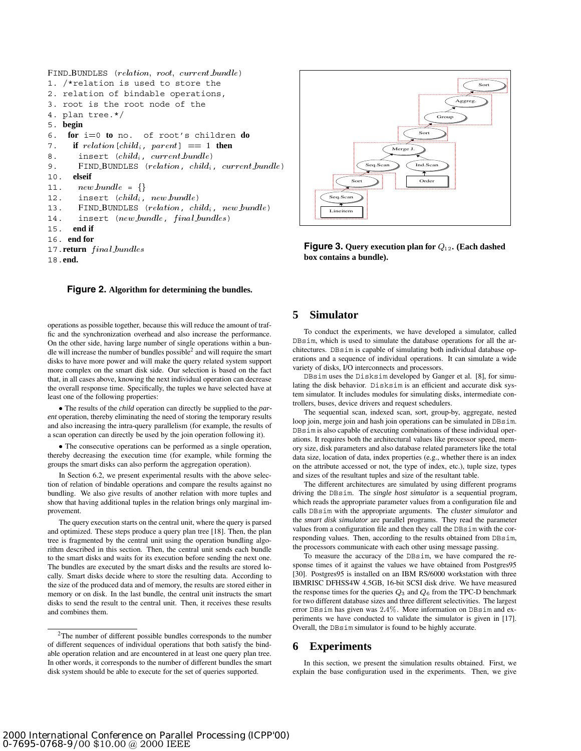```
FIND BUNDLES (relation, root, current bundle)
1. /*relation is used to store the
2. relation of bindable operations,
3. root is the root node of the
4. plan tree.*/
5. begin
6. for i=0 to no. of root's children do
7. if relation [child_i, parent] == 1 then
8. insert \{child_i, current\_bundle\}9. FIND BUNDLES (relation, child_i, current bundle)
10. elseif
11. new\_bundle = \{\}12. insert \left( child_i, new_bundle \right)13. FIND BUNDLES (relation, child<sub>i</sub>, new bundle)
14. insert (new_bundle, final_bundles)
15. end if
16. end for
17.return final_bundles
18.end.
```
#### **Figure 2. Algorithm for determining the bundles.**

operations as possible together, because this will reduce the amount of traffic and the synchronization overhead and also increase the performance. On the other side, having large number of single operations within a bundle will increase the number of bundles possible<sup>2</sup> and will require the smart disks to have more power and will make the query related system support more complex on the smart disk side. Our selection is based on the fact that, in all cases above, knowing the next individual operation can decrease the overall response time. Specifically, the tuples we have selected have at least one of the following properties:

 The results of the *child* operation can directly be supplied to the *parent* operation, thereby eliminating the need of storing the temporary results and also increasing the intra-query parallelism (for example, the results of a scan operation can directly be used by the join operation following it).

 The consecutive operations can be performed as a single operation, thereby decreasing the execution time (for example, while forming the groups the smart disks can also perform the aggregation operation).

In Section 6.2, we present experimental results with the above selection of relation of bindable operations and compare the results against no bundling. We also give results of another relation with more tuples and show that having additional tuples in the relation brings only marginal improvement.

The query execution starts on the central unit, where the query is parsed and optimized. These steps produce a query plan tree [18]. Then, the plan tree is fragmented by the central unit using the operation bundling algorithm described in this section. Then, the central unit sends each bundle to the smart disks and waits for its execution before sending the next one. The bundles are executed by the smart disks and the results are stored locally. Smart disks decide where to store the resulting data. According to the size of the produced data and of memory, the results are stored either in memory or on disk. In the last bundle, the central unit instructs the smart disks to send the result to the central unit. Then, it receives these results and combines them.



**Figure 3. Query execution plan for** Q12**. (Each dashed box contains a bundle).**

### **5 Simulator**

To conduct the experiments, we have developed a simulator, called DBsim, which is used to simulate the database operations for all the architectures. DBsim is capable of simulating both individual database operations and a sequence of individual operations. It can simulate a wide variety of disks, I/O interconnects and processors.

DBsim uses the Disksim developed by Ganger et al. [8], for simulating the disk behavior. Disksim is an efficient and accurate disk system simulator. It includes modules for simulating disks, intermediate controllers, buses, device drivers and request schedulers.

The sequential scan, indexed scan, sort, group-by, aggregate, nested loop join, merge join and hash join operations can be simulated in DBsim. DBsim is also capable of executing combinations of these individual operations. It requires both the architectural values like processor speed, memory size, disk parameters and also database related parameters like the total data size, location of data, index properties (e.g., whether there is an index on the attribute accessed or not, the type of index, etc.), tuple size, types and sizes of the resultant tuples and size of the resultant table.

The different architectures are simulated by using different programs driving the DBsim. The *single host simulator* is a sequential program, which reads the appropriate parameter values from a configuration file and calls DBsim with the appropriate arguments. The *cluster simulator* and the *smart disk simulator* are parallel programs. They read the parameter values from a configuration file and then they call the DBsim with the corresponding values. Then, according to the results obtained from DBsim, the processors communicate with each other using message passing.

To measure the accuracy of the DBsim, we have compared the response times of it against the values we have obtained from Postgres95 [30]. Postgres95 is installed on an IBM RS/6000 workstation with three IBMRISC DFHSS4W 4.5GB, 16-bit SCSI disk drive. We have measured the response times for the queries  $Q_3$  and  $Q_6$  from the TPC-D benchmark for two different database sizes and three different selectivities. The largest error DBsim has given was 2:4%. More information on DBsim and experiments we have conducted to validate the simulator is given in [17]. Overall, the DBsim simulator is found to be highly accurate.

# **6 Experiments**

In this section, we present the simulation results obtained. First, we explain the base configuration used in the experiments. Then, we give

 $2$ The number of different possible bundles corresponds to the number of different sequences of individual operations that both satisfy the bindable operation relation and are encountered in at least one query plan tree. In other words, it corresponds to the number of different bundles the smart disk system should be able to execute for the set of queries supported.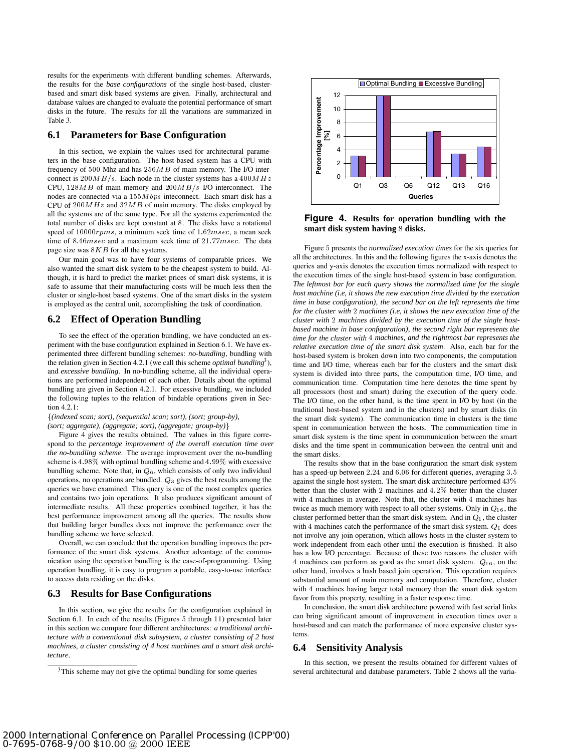results for the experiments with different bundling schemes. Afterwards, the results for the *base configurations* of the single host-based, clusterbased and smart disk based systems are given. Finally, architectural and database values are changed to evaluate the potential performance of smart disks in the future. The results for all the variations are summarized in Table 3.

### **6.1 Parameters for Base Configuration**

In this section, we explain the values used for architectural parameters in the base configuration. The host-based system has a CPU with frequency of 500 Mhz and has  $256MB$  of main memory. The I/O interconnect is  $200MB/s$ . Each node in the cluster systems has a  $400MHz$ CPU,  $128MB$  of main memory and  $200MB/s$  I/O interconnect. The nodes are connected via a 155M bps inteconnect. Each smart disk has a CPU of  $200MHz$  and  $32MB$  of main memory. The disks employed by all the systems are of the same type. For all the systems experimented the total number of disks are kept constant at <sup>8</sup>. The disks have a rotational speed of 10000rpms, a minimum seek time of 1.62msec, a mean seek time of 8.46*msec* and a maximum seek time of 21.77*msec*. The data page size was  $8KB$  for all the systems.

Our main goal was to have four systems of comparable prices. We also wanted the smart disk system to be the cheapest system to build. Although, it is hard to predict the market prices of smart disk systems, it is safe to assume that their manufacturing costs will be much less then the cluster or single-host based systems. One of the smart disks in the system is employed as the central unit, accomplishing the task of coordination.

# **6.2 Effect of Operation Bundling**

To see the effect of the operation bundling, we have conducted an experiment with the base configuration explained in Section 6.1. We have experimented three different bundling schemes: *no-bundling*, bundling with the relation given in Section 4.2.1 (we call this scheme *optimal bundling*<sup>3</sup>), and *excessive bundling*. In no-bundling scheme, all the individual operations are performed independent of each other. Details about the optimal bundling are given in Section 4.2.1. For excessive bundling, we included the following tuples to the relation of bindable operations given in Section 4.2.1:

f*(indexed scan; sort), (sequential scan; sort), (sort; group-by), (sort; aggregate), (aggregate; sort), (aggregate; group-by)*}

Figure 4 gives the results obtained. The values in this figure correspond to the *percentage improvement of the overall execution time over the no-bundling scheme*. The average improvement over the no-bundling scheme is 4:98% with optimal bundling scheme and 4:99% with excessive bundling scheme. Note that, in  $Q_6$ , which consists of only two individual operations, no operations are bundled. Q3 gives the best results among the queries we have examined. This query is one of the most complex queries and contains two join operations. It also produces significant amount of intermediate results. All these properties combined together, it has the best performance improvement among all the queries. The results show that building larger bundles does not improve the performance over the bundling scheme we have selected.

Overall, we can conclude that the operation bundling improves the performance of the smart disk systems. Another advantage of the communication using the operation bundling is the ease-of-programming. Using operation bundling, it is easy to program a portable, easy-to-use interface to access data residing on the disks.

### **6.3 Results for Base Configurations**

In this section, we give the results for the configuration explained in Section 6.1. In each of the results (Figures <sup>5</sup> through <sup>11</sup>) presented later in this section we compare four different architectures: *a traditional architecture with a conventional disk subsystem, a cluster consisting of 2 host machines, a cluster consisting of 4 host machines and a smart disk architecture*.



**Figure 4. Results for operation bundling with the smart disk system having** <sup>8</sup> **disks.**

Figure <sup>5</sup> presents the *normalized execution times* for the six queries for all the architectures. In this and the following figures the x-axis denotes the queries and y-axis denotes the execution times normalized with respect to the execution times of the single host-based system in base configuration. *The leftmost bar for each query shows the normalized time for the single host machine (i.e, it shows the new execution time divided by the execution time in base configuration), the second bar on the left represents the time for the cluster with* <sup>2</sup> *machines (i.e, it shows the new execution time of the cluster with* <sup>2</sup> *machines divided by the execution time of the single hostbased machine in base configuration), the second right bar represents the time for the cluster with* <sup>4</sup> *machines, and the rightmost bar represents the relative execution time of the smart disk system*. Also, each bar for the host-based system is broken down into two components, the computation time and I/O time, whereas each bar for the clusters and the smart disk system is divided into three parts, the computation time, I/O time, and communication time. Computation time here denotes the time spent by all processors (host and smart) during the execution of the query code. The I/O time, on the other hand, is the time spent in I/O by host (in the traditional host-based system and in the clusters) and by smart disks (in the smart disk system). The communication time in clusters is the time spent in communication between the hosts. The communication time in smart disk system is the time spent in communication between the smart disks and the time spent in communication between the central unit and the smart disks.

The results show that in the base configuration the smart disk system has a speed-up between 2.24 and 6.06 for different queries, averaging 3.5 against the single host system. The smart disk architecture performed 43% better than the cluster with <sup>2</sup> machines and 4:2% better than the cluster with <sup>4</sup> machines in average. Note that, the cluster with <sup>4</sup> machines has twice as much memory with respect to all other systems. Only in  $Q_{16}$ , the cluster performed better than the smart disk system. And in  $Q_1$ , the cluster with 4 machines catch the performance of the smart disk system.  $Q_1$  does not involve any join operation, which allows hosts in the cluster system to work independent from each other until the execution is finished. It also has a low I/O percentage. Because of these two reasons the cluster with <sup>4</sup> machines can perform as good as the smart disk system. Q16, on the other hand, involves a hash based join operation. This operation requires substantial amount of main memory and computation. Therefore, cluster with <sup>4</sup> machines having larger total memory than the smart disk system favor from this property, resulting in a faster response time.

In conclusion, the smart disk architecture powered with fast serial links can bring significant amount of improvement in execution times over a host-based and can match the performance of more expensive cluster systems.

### **6.4 Sensitivity Analysis**

In this section, we present the results obtained for different values of several architectural and database parameters. Table 2 shows all the varia-

<sup>&</sup>lt;sup>3</sup>This scheme may not give the optimal bundling for some queries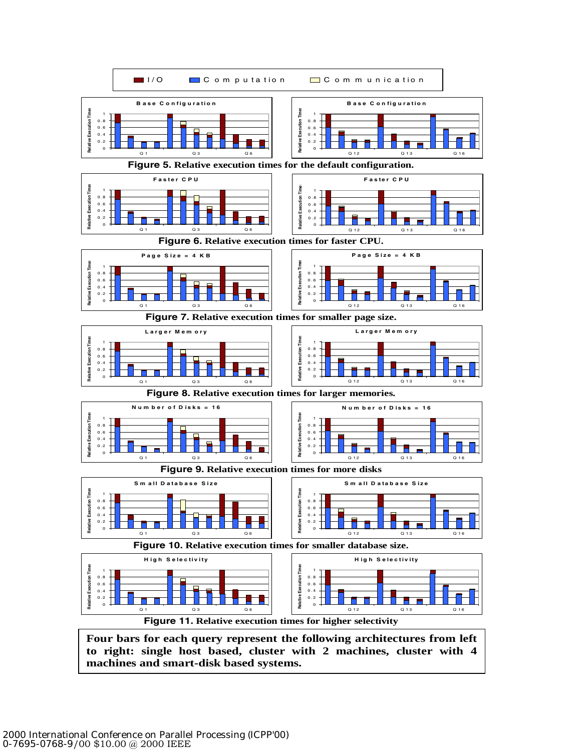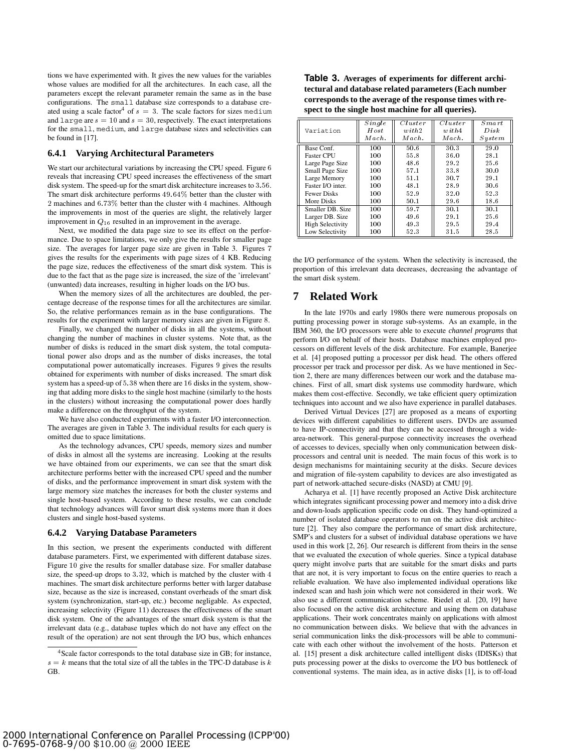tions we have experimented with. It gives the new values for the variables whose values are modified for all the architectures. In each case, all the parameters except the relevant parameter remain the same as in the base configurations. The small database size corresponds to a database created using a scale factor<sup>4</sup> of  $s = 3$ . The scale factors for sizes medium and large are  $s = 10$  and  $s = 30$ , respectively. The exact interpretations for the small, medium, and large database sizes and selectivities can be found in [17].

#### **6.4.1 Varying Architectural Parameters**

We start our architectural variations by increasing the CPU speed. Figure <sup>6</sup> reveals that increasing CPU speed increases the effectiveness of the smart disk system. The speed-up for the smart disk architecture increases to 3:56. The smart disk architecture performs 49:64% better than the cluster with <sup>2</sup> machines and 6:73% better than the cluster with <sup>4</sup> machines. Although the improvements in most of the queries are slight, the relatively larger improvement in  $Q_{16}$  resulted in an improvement in the average.

Next, we modified the data page size to see its effect on the performance. Due to space limitations, we only give the results for smaller page size. The averages for larger page size are given in Table 3. Figures <sup>7</sup> gives the results for the experiments with page sizes of <sup>4</sup> KB. Reducing the page size, reduces the effectiveness of the smart disk system. This is due to the fact that as the page size is increased, the size of the 'irrelevant' (unwanted) data increases, resulting in higher loads on the I/O bus.

When the memory sizes of all the architectures are doubled, the percentage decrease of the response times for all the architectures are similar. So, the relative performances remain as in the base configurations. The results for the experiment with larger memory sizes are given in Figure <sup>8</sup>.

Finally, we changed the number of disks in all the systems, without changing the number of machines in cluster systems. Note that, as the number of disks is reduced in the smart disk system, the total computational power also drops and as the number of disks increases, the total computational power automatically increases. Figures <sup>9</sup> gives the results obtained for experiments with number of disks increased. The smart disk system has a speed-up of 5:38 when there are <sup>16</sup> disks in the system, showing that adding more disks to the single host machine (similarly to the hosts in the clusters) without increasing the computational power does hardly make a difference on the throughput of the system.

We have also conducted experiments with a faster I/O interconnection. The averages are given in Table 3. The individual results for each query is omitted due to space limitations.

As the technology advances, CPU speeds, memory sizes and number of disks in almost all the systems are increasing. Looking at the results we have obtained from our experiments, we can see that the smart disk architecture performs better with the increased CPU speed and the number of disks, and the performance improvement in smart disk system with the large memory size matches the increases for both the cluster systems and single host-based system. According to these results, we can conclude that technology advances will favor smart disk systems more than it does clusters and single host-based systems.

#### **6.4.2 Varying Database Parameters**

In this section, we present the experiments conducted with different database parameters. First, we experimented with different database sizes. Figure <sup>10</sup> give the results for smaller database size. For smaller database size, the speed-up drops to 3:32, which is matched by the cluster with <sup>4</sup> machines. The smart disk architecture performs better with larger database size, because as the size is increased, constant overheads of the smart disk system (synchronization, start-up, etc.) become negligable. As expected, increasing selectivity (Figure <sup>11</sup>) decreases the effectiveness of the smart disk system. One of the advantages of the smart disk system is that the irrelevant data (e.g., database tuples which do not have any effect on the result of the operation) are not sent through the I/O bus, which enhances

**Table 3. Averages of experiments for different architectural and database related parameters (Each number corresponds to the average of the response times with respect to the single host machine for all queries).**

| Variation               | Single<br>Host<br>Mach. | Cluster<br>with 2<br>$Mach$ . | Cluster<br>with 4<br>$M$ a ch. | $S$ <i>mart</i><br>Disk<br><i>System</i> |
|-------------------------|-------------------------|-------------------------------|--------------------------------|------------------------------------------|
| Base Conf.              | 100                     | 50.6                          | 30.3                           | 29.0                                     |
| Faster CPU              | 100                     | 55.8                          | 36.0                           | 28.1                                     |
| Large Page Size         | 100                     | 48.6                          | 29.2                           | 25.6                                     |
| Small Page Size         | 100                     | 57.1                          | 33.8                           | 30.0                                     |
| Large Memory            | 100                     | 51.1                          | 30.7                           | 29.1                                     |
| Faster I/O inter.       | 100                     | 48.1                          | 28.9                           | 30.6                                     |
| <b>Fewer Disks</b>      | 100                     | 52.9                          | 32.0                           | 52.3                                     |
| More Disks              | 100                     | 50.1                          | 29.6                           | 18.6                                     |
| Smaller DB. Size        | 100                     | 59.7                          | 30.1                           | 30.1                                     |
| Larger DB. Size         | 100                     | 49.6                          | 29.1                           | 25.6                                     |
| <b>High Selectivity</b> | 100                     | 49.3                          | 29.5                           | 29.4                                     |
| Low Selectivity         | 100                     | 52.3                          | 31.5                           | 28.5                                     |

the I/O performance of the system. When the selectivity is increased, the proportion of this irrelevant data decreases, decreasing the advantage of the smart disk system.

# **7 Related Work**

In the late 1970s and early 1980s there were numerous proposals on putting processing power in storage sub-systems. As an example, in the IBM 360, the I/O processors were able to execute *channel programs* that perform I/O on behalf of their hosts. Database machines employed processors on different levels of the disk architecture. For example, Banerjee et al. [4] proposed putting a processor per disk head. The others offered processor per track and processor per disk. As we have mentioned in Section 2, there are many differences between our work and the database machines. First of all, smart disk systems use commodity hardware, which makes them cost-effective. Secondly, we take efficient query optimization techniques into account and we also have experience in parallel databases.

Derived Virtual Devices [27] are proposed as a means of exporting devices with different capabilities to different users. DVDs are assumed to have IP-connectivity and that they can be accessed through a widearea-network. This general-purpose connectivity increases the overhead of accesses to devices, specially when only communication between diskprocessors and central unit is needed. The main focus of this work is to design mechanisms for maintaining security at the disks. Secure devices and migration of file-system capability to devices are also investigated as part of network-attached secure-disks (NASD) at CMU [9].

Acharya et al. [1] have recently proposed an Active Disk architecture which integrates significant processing power and memory into a disk drive and down-loads application specific code on disk. They hand-optimized a number of isolated database operators to run on the active disk architecture [2]. They also compare the performance of smart disk architecture, SMP's and clusters for a subset of individual database operations we have used in this work [2, 26]. Our research is different from theirs in the sense that we evaluated the execution of whole queries. Since a typical database query might involve parts that are suitable for the smart disks and parts that are not, it is very important to focus on the entire queries to reach a reliable evaluation. We have also implemented individual operations like indexed scan and hash join which were not considered in their work. We also use a different communication scheme. Riedel et al. [20, 19] have also focused on the active disk architecture and using them on database applications. Their work concentrates mainly on applications with almost no communication between disks. We believe that with the advances in serial communication links the disk-processors will be able to communicate with each other without the involvement of the hosts. Patterson et al. [15] present a disk architecture called intelligent disks (IDISKs) that puts processing power at the disks to overcome the I/O bus bottleneck of conventional systems. The main idea, as in active disks [1], is to off-load

<sup>&</sup>lt;sup>4</sup>Scale factor corresponds to the total database size in GB; for instance,  $s = k$  means that the total size of all the tables in the TPC-D database is k GB.